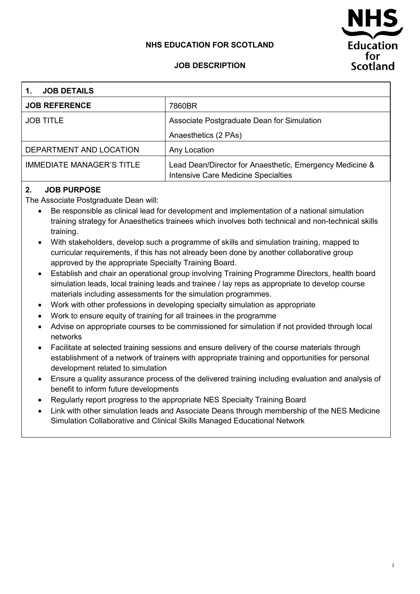### **NHS EDUCATION FOR SCOTLAND**

# Education for. **Scotland**

#### **JOB DESCRIPTION**

| <b>JOB DETAILS</b><br>1.         |                                                                                                        |  |  |
|----------------------------------|--------------------------------------------------------------------------------------------------------|--|--|
| <b>JOB REFERENCE</b>             | 7860BR                                                                                                 |  |  |
| <b>JOB TITLE</b>                 | Associate Postgraduate Dean for Simulation                                                             |  |  |
|                                  | Anaesthetics (2 PAs)                                                                                   |  |  |
| DEPARTMENT AND LOCATION          | Any Location                                                                                           |  |  |
| <b>IMMEDIATE MANAGER'S TITLE</b> | Lead Dean/Director for Anaesthetic, Emergency Medicine &<br><b>Intensive Care Medicine Specialties</b> |  |  |

#### **2. JOB PURPOSE**

The Associate Postgraduate Dean will:

- Be responsible as clinical lead for development and implementation of a national simulation training strategy for Anaesthetics trainees which involves both technical and non-technical skills training.
- With stakeholders, develop such a programme of skills and simulation training, mapped to curricular requirements, if this has not already been done by another collaborative group approved by the appropriate Specialty Training Board.
- Establish and chair an operational group involving Training Programme Directors, health board simulation leads, local training leads and trainee / lay reps as appropriate to develop course materials including assessments for the simulation programmes.
- Work with other professions in developing specialty simulation as appropriate
- Work to ensure equity of training for all trainees in the programme
- Advise on appropriate courses to be commissioned for simulation if not provided through local networks
- Facilitate at selected training sessions and ensure delivery of the course materials through establishment of a network of trainers with appropriate training and opportunities for personal development related to simulation
- Ensure a quality assurance process of the delivered training including evaluation and analysis of benefit to inform future developments
- Regularly report progress to the appropriate NES Specialty Training Board
- Link with other simulation leads and Associate Deans through membership of the NES Medicine Simulation Collaborative and Clinical Skills Managed Educational Network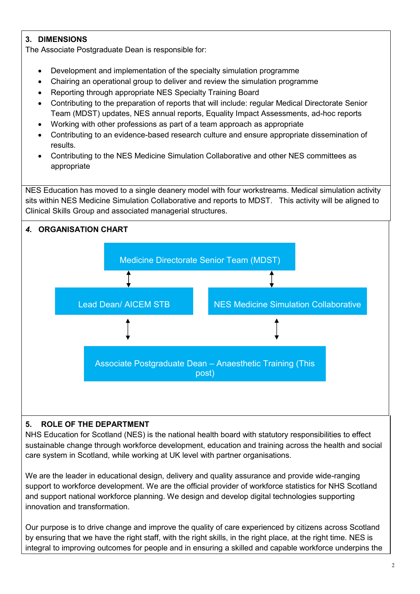# **3. DIMENSIONS**

The Associate Postgraduate Dean is responsible for:

- Development and implementation of the specialty simulation programme
- Chairing an operational group to deliver and review the simulation programme
- Reporting through appropriate NES Specialty Training Board
- Contributing to the preparation of reports that will include: regular Medical Directorate Senior Team (MDST) updates, NES annual reports, Equality Impact Assessments, ad-hoc reports
- Working with other professions as part of a team approach as appropriate
- Contributing to an evidence-based research culture and ensure appropriate dissemination of results.
- Contributing to the NES Medicine Simulation Collaborative and other NES committees as appropriate

NES Education has moved to a single deanery model with four workstreams. Medical simulation activity sits within NES Medicine Simulation Collaborative and reports to MDST. This activity will be aligned to Clinical Skills Group and associated managerial structures.



# **5. ROLE OF THE DEPARTMENT**

NHS Education for Scotland (NES) is the national health board with statutory responsibilities to effect sustainable change through workforce development, education and training across the health and social care system in Scotland, while working at UK level with partner organisations.

We are the leader in educational design, delivery and quality assurance and provide wide-ranging support to workforce development. We are the official provider of workforce statistics for NHS Scotland and support national workforce planning. We design and develop digital technologies supporting innovation and transformation.

Our purpose is to drive change and improve the quality of care experienced by citizens across Scotland by ensuring that we have the right staff, with the right skills, in the right place, at the right time. NES is integral to improving outcomes for people and in ensuring a skilled and capable workforce underpins the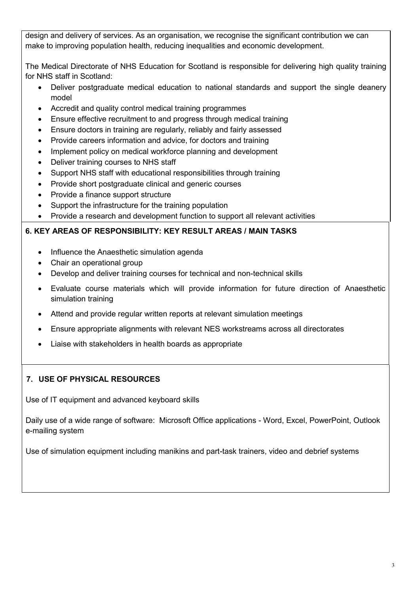design and delivery of services. As an organisation, we recognise the significant contribution we can make to improving population health, reducing inequalities and economic development.

The Medical Directorate of NHS Education for Scotland is responsible for delivering high quality training for NHS staff in Scotland:

- Deliver postgraduate medical education to national standards and support the single deanery model
- Accredit and quality control medical training programmes
- Ensure effective recruitment to and progress through medical training
- Ensure doctors in training are regularly, reliably and fairly assessed
- Provide careers information and advice, for doctors and training
- Implement policy on medical workforce planning and development
- Deliver training courses to NHS staff
- Support NHS staff with educational responsibilities through training
- Provide short postgraduate clinical and generic courses
- Provide a finance support structure
- Support the infrastructure for the training population
- Provide a research and development function to support all relevant activities

# **6. KEY AREAS OF RESPONSIBILITY: KEY RESULT AREAS / MAIN TASKS**

- Influence the Anaesthetic simulation agenda
- Chair an operational group
- Develop and deliver training courses for technical and non-technical skills
- Evaluate course materials which will provide information for future direction of Anaesthetic simulation training
- Attend and provide regular written reports at relevant simulation meetings
- Ensure appropriate alignments with relevant NES workstreams across all directorates
- Liaise with stakeholders in health boards as appropriate

# **7. USE OF PHYSICAL RESOURCES**

Use of IT equipment and advanced keyboard skills

Daily use of a wide range of software: Microsoft Office applications - Word, Excel, PowerPoint, Outlook e-mailing system

Use of simulation equipment including manikins and part-task trainers, video and debrief systems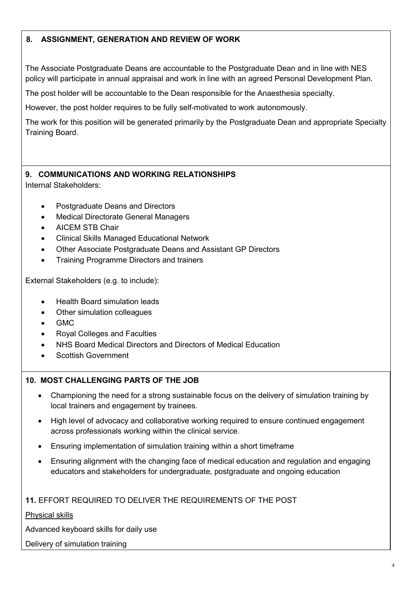# **8. ASSIGNMENT, GENERATION AND REVIEW OF WORK**

The Associate Postgraduate Deans are accountable to the Postgraduate Dean and in line with NES policy will participate in annual appraisal and work in line with an agreed Personal Development Plan.

The post holder will be accountable to the Dean responsible for the Anaesthesia specialty.

However, the post holder requires to be fully self-motivated to work autonomously.

The work for this position will be generated primarily by the Postgraduate Dean and appropriate Specialty Training Board.

# **9. COMMUNICATIONS AND WORKING RELATIONSHIPS**

Internal Stakeholders:

- Postgraduate Deans and Directors
- Medical Directorate General Managers
- AICEM STB Chair
- Clinical Skills Managed Educational Network
- Other Associate Postgraduate Deans and Assistant GP Directors
- Training Programme Directors and trainers

External Stakeholders (e.g. to include):

- Health Board simulation leads
- Other simulation colleagues
- GMC
- Royal Colleges and Faculties
- NHS Board Medical Directors and Directors of Medical Education
- Scottish Government

#### **10. MOST CHALLENGING PARTS OF THE JOB**

- Championing the need for a strong sustainable focus on the delivery of simulation training by local trainers and engagement by trainees.
- High level of advocacy and collaborative working required to ensure continued engagement across professionals working within the clinical service.
- Ensuring implementation of simulation training within a short timeframe
- Ensuring alignment with the changing face of medical education and regulation and engaging educators and stakeholders for undergraduate, postgraduate and ongoing education

#### **11.** EFFORT REQUIRED TO DELIVER THE REQUIREMENTS OF THE POST

Physical skills

Advanced keyboard skills for daily use

#### Delivery of simulation training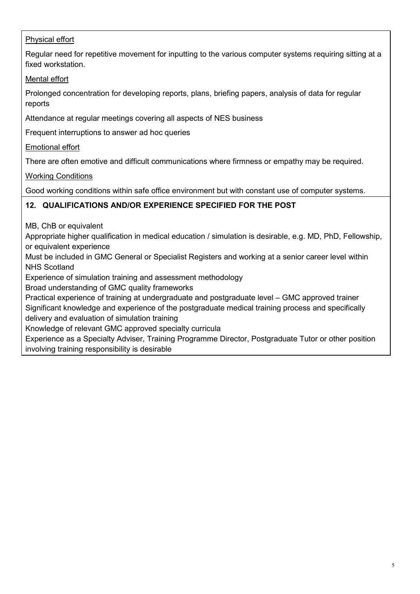# Physical effort

Regular need for repetitive movement for inputting to the various computer systems requiring sitting at a fixed workstation.

Mental effort

Prolonged concentration for developing reports, plans, briefing papers, analysis of data for regular reports

Attendance at regular meetings covering all aspects of NES business

Frequent interruptions to answer ad hoc queries

Emotional effort

There are often emotive and difficult communications where firmness or empathy may be required.

Working Conditions

Good working conditions within safe office environment but with constant use of computer systems.

### **12. QUALIFICATIONS AND/OR EXPERIENCE SPECIFIED FOR THE POST**

MB, ChB or equivalent

Appropriate higher qualification in medical education / simulation is desirable, e.g. MD, PhD, Fellowship, or equivalent experience

Must be included in GMC General or Specialist Registers and working at a senior career level within NHS Scotland

Experience of simulation training and assessment methodology

Broad understanding of GMC quality frameworks

Practical experience of training at undergraduate and postgraduate level – GMC approved trainer

Significant knowledge and experience of the postgraduate medical training process and specifically delivery and evaluation of simulation training

Knowledge of relevant GMC approved specialty curricula

Experience as a Specialty Adviser, Training Programme Director, Postgraduate Tutor or other position involving training responsibility is desirable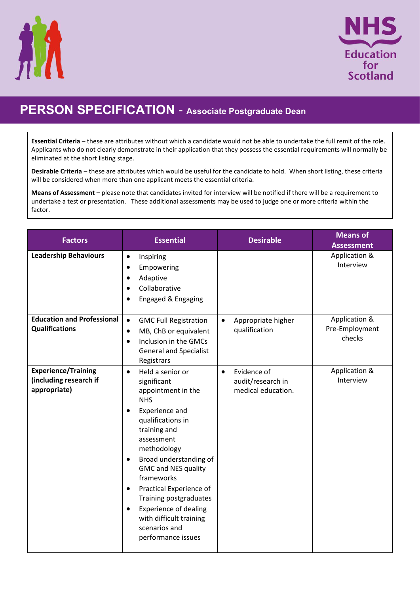



# **PERSON SPECIFICATION** - **Associate Postgraduate Dean**

**Essential Criteria** – these are attributes without which a candidate would not be able to undertake the full remit of the role. Applicants who do not clearly demonstrate in their application that they possess the essential requirements will normally be eliminated at the short listing stage.

**Desirable Criteria** – these are attributes which would be useful for the candidate to hold. When short listing, these criteria will be considered when more than one applicant meets the essential criteria.

**Means of Assessment –** please note that candidates invited for interview will be notified if there will be a requirement to undertake a test or presentation. These additional assessments may be used to judge one or more criteria within the factor.

| <b>Factors</b>                                                       | <b>Essential</b>                                                                                                                                                                                                                                                                                                                                                                                                                                      | <b>Desirable</b>                                                    | <b>Means of</b><br><b>Assessment</b>      |
|----------------------------------------------------------------------|-------------------------------------------------------------------------------------------------------------------------------------------------------------------------------------------------------------------------------------------------------------------------------------------------------------------------------------------------------------------------------------------------------------------------------------------------------|---------------------------------------------------------------------|-------------------------------------------|
| <b>Leadership Behaviours</b>                                         | Inspiring<br>$\bullet$<br>Empowering<br>$\bullet$<br>Adaptive<br>$\bullet$<br>Collaborative<br>Engaged & Engaging                                                                                                                                                                                                                                                                                                                                     |                                                                     | Application &<br>Interview                |
| <b>Education and Professional</b><br><b>Qualifications</b>           | $\bullet$<br><b>GMC Full Registration</b><br>MB, ChB or equivalent<br>$\bullet$<br>Inclusion in the GMCs<br>$\bullet$<br><b>General and Specialist</b><br>Registrars                                                                                                                                                                                                                                                                                  | Appropriate higher<br>$\bullet$<br>qualification                    | Application &<br>Pre-Employment<br>checks |
| <b>Experience/Training</b><br>(including research if<br>appropriate) | Held a senior or<br>$\bullet$<br>significant<br>appointment in the<br><b>NHS</b><br>Experience and<br>$\bullet$<br>qualifications in<br>training and<br>assessment<br>methodology<br>Broad understanding of<br>$\bullet$<br><b>GMC and NES quality</b><br>frameworks<br>Practical Experience of<br>$\bullet$<br>Training postgraduates<br><b>Experience of dealing</b><br>$\bullet$<br>with difficult training<br>scenarios and<br>performance issues | Evidence of<br>$\bullet$<br>audit/research in<br>medical education. | Application &<br>Interview                |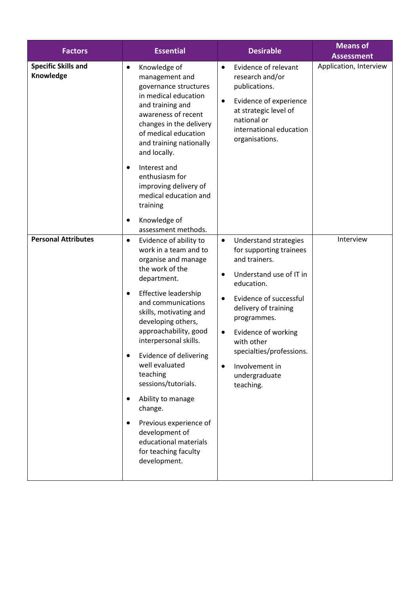| <b>Factors</b>                          | <b>Essential</b>                                                                                                                                                                                                                                                                                                                                                                                                                                                                                                                         | <b>Desirable</b>                                                                                                                                                                                                                                                                                                                                                     | <b>Means of</b><br><b>Assessment</b> |
|-----------------------------------------|------------------------------------------------------------------------------------------------------------------------------------------------------------------------------------------------------------------------------------------------------------------------------------------------------------------------------------------------------------------------------------------------------------------------------------------------------------------------------------------------------------------------------------------|----------------------------------------------------------------------------------------------------------------------------------------------------------------------------------------------------------------------------------------------------------------------------------------------------------------------------------------------------------------------|--------------------------------------|
| <b>Specific Skills and</b><br>Knowledge | Knowledge of<br>$\bullet$<br>management and<br>governance structures<br>in medical education<br>and training and<br>awareness of recent<br>changes in the delivery<br>of medical education<br>and training nationally<br>and locally.<br>Interest and<br>$\bullet$<br>enthusiasm for<br>improving delivery of<br>medical education and<br>training                                                                                                                                                                                       | Evidence of relevant<br>$\bullet$<br>research and/or<br>publications.<br>Evidence of experience<br>$\bullet$<br>at strategic level of<br>national or<br>international education<br>organisations.                                                                                                                                                                    | Application, Interview               |
|                                         | Knowledge of<br>٠<br>assessment methods.                                                                                                                                                                                                                                                                                                                                                                                                                                                                                                 |                                                                                                                                                                                                                                                                                                                                                                      |                                      |
| <b>Personal Attributes</b>              | Evidence of ability to<br>$\bullet$<br>work in a team and to<br>organise and manage<br>the work of the<br>department.<br>Effective leadership<br>$\bullet$<br>and communications<br>skills, motivating and<br>developing others,<br>approachability, good<br>interpersonal skills.<br>Evidence of delivering<br>well evaluated<br>teaching<br>sessions/tutorials.<br>Ability to manage<br>$\bullet$<br>change.<br>Previous experience of<br>$\bullet$<br>development of<br>educational materials<br>for teaching faculty<br>development. | <b>Understand strategies</b><br>$\bullet$<br>for supporting trainees<br>and trainers.<br>Understand use of IT in<br>$\bullet$<br>education.<br>Evidence of successful<br>$\bullet$<br>delivery of training<br>programmes.<br>Evidence of working<br>$\bullet$<br>with other<br>specialties/professions.<br>Involvement in<br>$\bullet$<br>undergraduate<br>teaching. | Interview                            |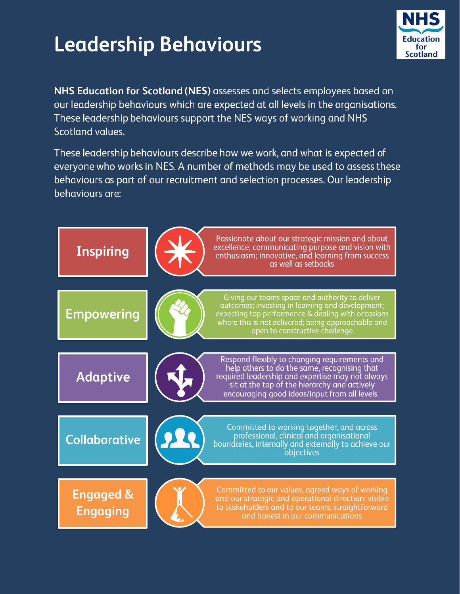# **Leadership Behaviours**



NHS Education for Scotland (NES) assesses and selects employees based on our leadership behaviours which are expected at all levels in the organisations. These leadership behaviours support the NES ways of working and NHS Scotland values.

These leadership behaviours describe how we work, and what is expected of everyone who works in NES. A number of methods may be used to assess these behaviours as part of our recruitment and selection processes. Our leadership behaviours are: